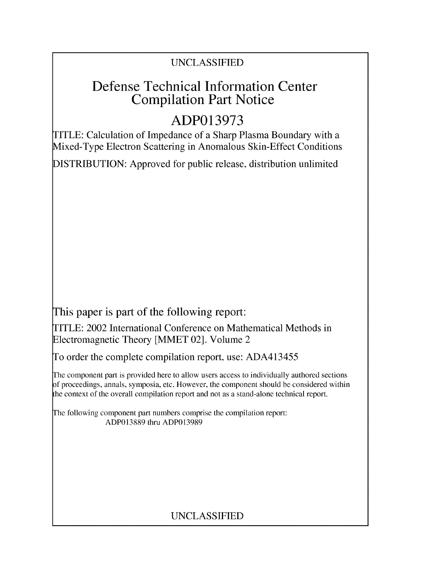## UNCLASSIFIED

# Defense Technical Information Center Compilation Part Notice

# **ADP013973**

TITLE: Calculation of Impedance of a Sharp Plasma Boundary with a Mixed-Type Electron Scattering in Anomalous Skin-Effect Conditions

DISTRIBUTION: Approved for public release, distribution unlimited

This paper is part of the following report:

TITLE: 2002 International Conference on Mathematical Methods in Electromagnetic Theory [MMET 02]. Volume 2

To order the complete compilation report, use: ADA413455

The component part is provided here to allow users access to individually authored sections f proceedings, annals, symposia, etc. However, the component should be considered within the context of the overall compilation report and not as a stand-alone technical report.

The following component part numbers comprise the compilation report: ADP013889 thru ADP013989

## UNCLASSIFIED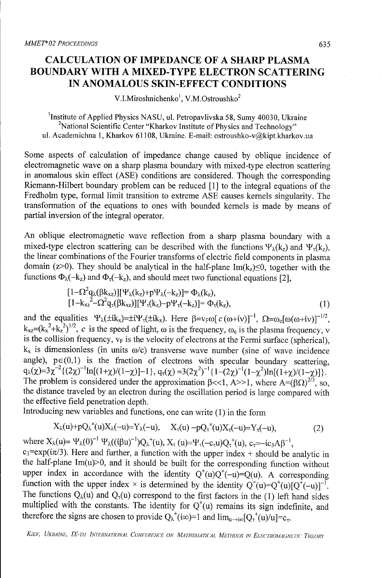### **CALCULATION** OF **IMPEDANCE** OF **A** SHARP **PLASMA** BOUNDARY WITH **A** MIXED-TYPE **ELECTRON SCATTERING IN ANOMALOUS SKIN-EFFECT CONDITIONS**

V.I.Miroshnichenko<sup>1</sup>, V.M.Ostroushko<sup>2</sup>

<sup>1</sup>Institute of Applied Physics NASU, ul. Petropavlivska 58, Sumy 40030, Ukraine<br><sup>2</sup>National Scientific Center "Kharkov Institute of Physics and Technology"<br>ul. Academichna 1, Kharkov 61108, Ukraine. E-mail: ostroushko-v@

Some aspects of calculation of impedance change caused by oblique incidence of electromagnetic wave on a sharp plasma boundary with mixed-type electron scattering in anomalous skin effect (ASE) conditions are considered. Though the corresponding Riemann-Hilbert boundary problem can be reduced [1] to the integral equations of the Fredholm type, formal limit transition to extreme ASE causes kernels singularity. The transformation of the equations to ones with bounded kernels is made by means of partial inversion of the integral operator.

An oblique electromagnetic wave reflection from a sharp plasma boundary with a mixed-type electron scattering can be described with the functions  $\Psi_{\lambda}(k_z)$  and  $\Psi_{\tau}(k_z)$ , the linear combinations of the Fourier transforms of electric field components in plasma domain ( $z>0$ ). They should be analytical in the half-plane Im( $k_z$ )  $\leq 0$ , together with the functions  $\Phi_{\lambda}(-k_z)$  and  $\Phi_{\tau}(-k_z)$ , and should meet two functional equations [2],

$$
[1-\Omega^{2}q_{\lambda}(\beta k_{xz})][\Psi_{\lambda}(k_{z})+p\Psi_{\lambda}(-k_{z})]=\Phi_{\lambda}(k_{z}),[1-k_{xz}^{2}-\Omega^{2}q_{\tau}(\beta k_{xz})][\Psi_{\tau}(k_{z})-p\Psi_{\tau}(-k_{z})]=\Phi_{\tau}(k_{z}),
$$
\n(1)

and the equalities  $\Psi_{\lambda}(\pm i k_{x})=\pm i\Psi_{\tau}(\pm i k_{x})$ . Here  $\beta=v_{F}\omega[c(\omega+i\nu)]^{-1}$ ,  $\Omega=\omega_{e}[\omega(\omega+i\nu)]^{-1/2}$ ,  $k_{xz}=(k_x^2+k_z^2)^{1/2}$ , *c* is the speed of light,  $\omega$  is the frequency,  $\omega_e$  is the plasma frequency,  $\nu$ is the collision frequency,  $v_F$  is the velocity of electrons at the Fermi surface (spherical),  $k_x$  is dimensionless (in units  $\omega/c$ ) transverse wave number (sine of wave incidence angle),  $p \in (0,1)$  is the fraction of electrons with specular boundary scattering,  $q_{\lambda}(\chi) = 3 \chi^{-2} \{(2\chi)^{-1} \ln[(1+\chi)/(1-\chi)] - 1\}$ ,  $q_{\tau}(\chi) = 3(2\chi^2)^{-1} \{1-(2\chi)^{-1}(1-\chi^2)\ln[(1+\chi)/(1-\chi)]\}$ . The problem is considered under the approximation  $\beta \ll 1$ ,  $\overline{A}>>1$ , where  $\overline{A}=(\beta \Omega)^{2/3}$ , so, the distance traveled by an electron during the oscillation period is large compared with the effective field penetration depth.

Introducing new variables and functions, one can write (1) in the form

$$
X_{\lambda}(u) + pQ_{\lambda}^{\times}(u)X_{\lambda}(-u) = Y_{\lambda}(-u), \quad X_{\tau}(u) - pQ_{\tau}^{\times}(u)X_{\tau}(-u) = Y_{\tau}(-u), \tag{2}
$$

where  $X_{\lambda}(u) = \Psi_{\lambda}(0)^{-1} \Psi_{\lambda}((i\beta u)^{-1})Q_{\lambda}^+(u), X_{\tau}(u) = \Psi_{\tau}(-c_{\tau}u)Q_{\tau}^+(u), c_{\tau} = -ic_3 A \beta^{-1},$ 

 $c_3$ =exp( $i\pi/3$ ). Here and further, a function with the upper index + should be analytic in the half-plane  $Im(u)$  >0, and it should be built for the corresponding function without upper index in accordance with the identity  $Q^+(u)Q^+(-u)=Q(u)$ . A corresponding function with the upper index  $\times$  is determined by the identity  $Q^{*}(u)=Q^{+}(u)[Q^{+}(-u)]^{-1}$ . The functions  $Q_{\lambda}(u)$  and  $Q_{\tau}(u)$  correspond to the first factors in the (1) left hand sides multiplied with the constants. The identity for  $Q^+(u)$  remains its sign indefinite, and therefore the signs are chosen to provide  $Q_{\lambda}^+(\infty)=1$  and  $\lim_{u\to i\infty}[Q_{\tau}^+(u)/u]=c_{\tau}$ .

KIEV, UKRAINE, IX-TH INTERNATIONAL CONFERENCE ON MATHEMATICAL METHODS IN ELECTROMAGNETIC THEORY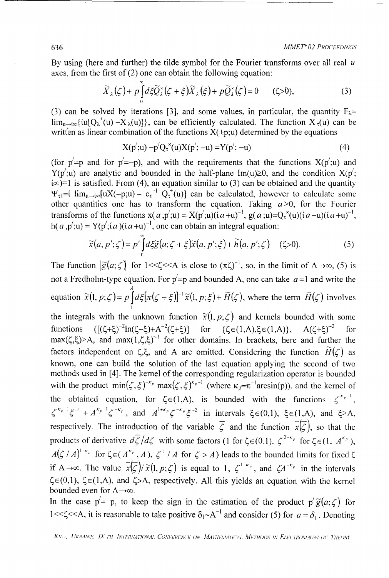By using (here and further) the tilde symbol for the Fourier transforms over all real  $u$ axes, from the first of (2) one can obtain the following equation:

$$
\widetilde{X}_{\lambda}(\zeta) + p \int_{0}^{\infty} d\xi \widetilde{Q}_{\lambda}^{*}(\zeta + \xi) \widetilde{X}_{\lambda}(\xi) + p \widetilde{Q}_{\lambda}^{*}(\zeta) = 0 \qquad (\zeta > 0), \tag{3}
$$

(3) can be solved by iterations [3], and some values, in particular, the quantity  $F_{\lambda}$ =  $\lim_{u\to i\infty} {\rm \{ }iu[Q_\lambda^{+}(u) - X_\lambda(u)] \}$ , can be efficiently calculated. The function  $X_\tau(u)$  can be written as linear combination of the functions  $X(\pm p;u)$  determined by the equations

$$
X(p';u) - p'Q_t^*(u)X(p';-u) = Y(p';-u)
$$
 (4)

(for  $p' = p$  and for  $p' = -p$ ), and with the requirements that the functions  $X(p';u)$  and  $Y(p';u)$  are analytic and bounded in the half-plane Im(u) is and the condition  $X(p';$  $\infty$ =1 is satisfied. From (4), an equation similar to (3) can be obtained and the quantity  $\Psi_{\tau}$ =i lim<sub>u→i∞</sub>[uX(-p;u) - c<sub> $\tau$ </sub><sup>-1</sup> Q<sub> $\tau$ </sub><sup>+</sup>(u)] can be calculated, however to calculate some other quantities one has to transform the equation. Taking  $a > 0$ , for the Fourier transforms of the functions  $x(a, p';u) = X(p';u)(ia+u)^{-1}$ ,  $g(a;u) = Q_x^{\alpha}(u)(ia-u)(ia+u)^{-1}$ , h(  $a, p';u$ ) =  $Y(p'; a)(a+u)^{-1}$ , one can obtain an integral equation:

$$
\widetilde{x}(a, p'; \zeta) = p' \int_{0}^{\infty} d\xi \widetilde{g}(a; \zeta + \xi) \widetilde{x}(a, p'; \xi) + \widetilde{h}(a, p'; \zeta) \quad (\zeta > 0).
$$
\n(5)

The function  $\left|\tilde{g}(a;\zeta)\right|$  for  $1\leq\leq\leq A$  is close to  $(\pi\zeta)^{-1}$ , so, in the limit of A $\rightarrow\infty$ , (5) is not a Fredholm-type equation. For  $p' = p$  and bounded A, one can take  $a = 1$  and write the equation  $\widetilde{x}(1, p; \zeta) = p \int d\xi [\pi(\zeta + \xi)]^{-1} \widetilde{x}(1, p; \xi) + \widetilde{H}(\zeta)$ , where the term  $\widetilde{H}(\zeta)$  involves

the integrals with the unknown function  $\tilde{x}(1, p; \zeta)$  and kernels bounded with some functions  $([(\zeta + \xi)^{-2}ln(\zeta + \xi) + A^{-2}(\zeta + \xi)]$  for  $\{\zeta \in (1, A), \xi \in (1, A)\},$   $A(\zeta + \xi)^{-2}$  for max( $\zeta$ , $\zeta$ )>A, and max( $1$ , $\zeta$ , $\zeta$ )<sup>-1</sup> for other domains. In brackets, here and further the factors independent on  $\zeta$ , $\xi$ , and A are omitted. Considering the function  $\widetilde{H}(\zeta)$  as known, one can build the solution of the last equation applying the second of two methods used in [4]. The kernel of the corresponding regularization operator is bounded with the product  $\min(\zeta, \xi)^{-\kappa_p} \max(\zeta, \xi)^{\kappa_p-1}$  (where  $\kappa_p = \pi^{-1} \arcsin(p)$ ), and the kernel of the obtained equation, for  $\zeta \in (1,A)$ , is bounded with the functions  $\zeta^{k_p-1}$ ,  $\zeta^{k_p-1}\xi^{-1} + A^{k_p-1}\zeta^{-k_p}$ , and  $A^{1+k_p}\zeta^{-k_p}\xi^{-2}$  in intervals  $\xi \in (0,1)$ ,  $\xi \in (1,A)$ , and  $\xi > A$ , respectively. The introduction of the variable  $\overline{\zeta}$  and the function  $\overline{x}(\overline{\zeta})$ , so that the products of derivative  $d\overline{\zeta}/d\zeta$  with some factors (1 for  $\zeta \in (0,1)$ ,  $\zeta^{2-\kappa_p}$  for  $\zeta \in (1, A^{\kappa_p})$ ,  $A(\zeta/A)^{1-\kappa_p}$  for  $\zeta \in (A^{\kappa_p}, A), \zeta^2/A$  for  $\zeta > A$ ) leads to the bounded limits for fixed  $\zeta$ if A $\rightarrow \infty$ . The value  $\overline{x(\zeta)}$ / $\widetilde{x}(1, p; \zeta)$  is equal to 1,  $\zeta^{1-\kappa_p}$ , and  $\zeta A^{-\kappa_p}$  in the intervals  $\zeta \in (0,1)$ ,  $\zeta \in (1,A)$ , and  $\zeta > A$ , respectively. All this yields an equation with the kernel bounded even for  $A\rightarrow\infty$ . In the case  $p'=-p$ , to keep the sign in the estimation of the product  $p'\tilde{g}(a;\zeta)$  for

 $1 \leq \zeta \leq A$ , it is reasonable to take positive  $\delta_1 \sim A^{-1}$  and consider (5) for  $a = \delta_1$ . Denoting